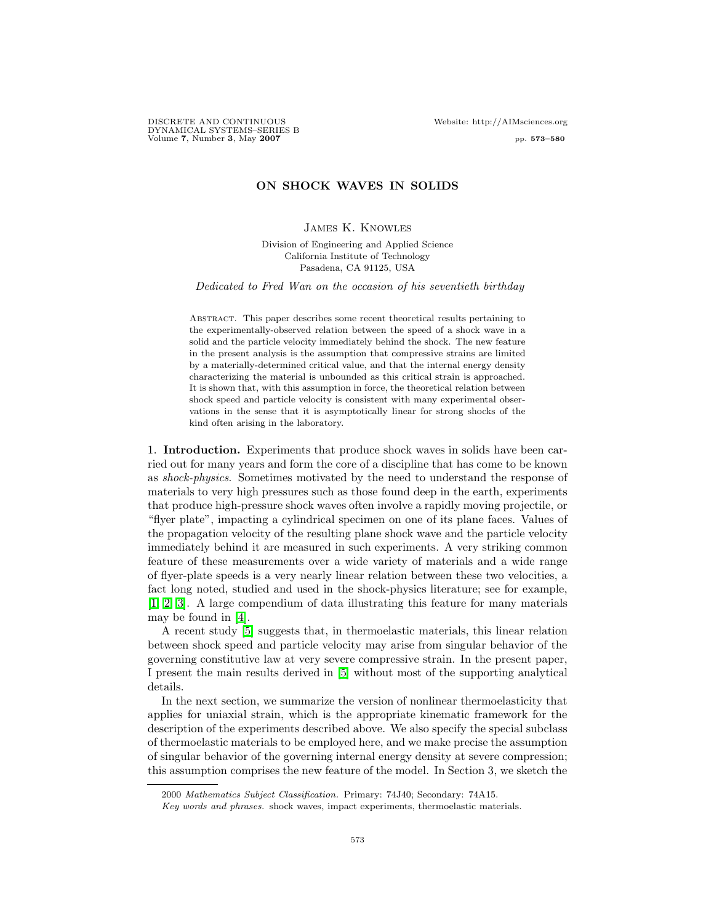DISCRETE AND CONTINUOUS Website: http://AIMsciences.org DYNAMICAL SYSTEMS–SERIES B Volume 7, Number 3, May 2007 **pp. 573–580** 

# ON SHOCK WAVES IN SOLIDS

### James K. Knowles

Division of Engineering and Applied Science California Institute of Technology Pasadena, CA 91125, USA

Dedicated to Fred Wan on the occasion of his seventieth birthday

Abstract. This paper describes some recent theoretical results pertaining to the experimentally-observed relation between the speed of a shock wave in a solid and the particle velocity immediately behind the shock. The new feature in the present analysis is the assumption that compressive strains are limited by a materially-determined critical value, and that the internal energy density characterizing the material is unbounded as this critical strain is approached. It is shown that, with this assumption in force, the theoretical relation between shock speed and particle velocity is consistent with many experimental observations in the sense that it is asymptotically linear for strong shocks of the kind often arising in the laboratory.

1. Introduction. Experiments that produce shock waves in solids have been carried out for many years and form the core of a discipline that has come to be known as shock-physics. Sometimes motivated by the need to understand the response of materials to very high pressures such as those found deep in the earth, experiments that produce high-pressure shock waves often involve a rapidly moving projectile, or "flyer plate", impacting a cylindrical specimen on one of its plane faces. Values of the propagation velocity of the resulting plane shock wave and the particle velocity immediately behind it are measured in such experiments. A very striking common feature of these measurements over a wide variety of materials and a wide range of flyer-plate speeds is a very nearly linear relation between these two velocities, a fact long noted, studied and used in the shock-physics literature; see for example, [\[1,](#page-7-0) [2,](#page-7-1) [3\]](#page-7-2). A large compendium of data illustrating this feature for many materials may be found in [\[4\]](#page-7-3).

A recent study [\[5\]](#page-7-4) suggests that, in thermoelastic materials, this linear relation between shock speed and particle velocity may arise from singular behavior of the governing constitutive law at very severe compressive strain. In the present paper, I present the main results derived in [\[5\]](#page-7-4) without most of the supporting analytical details.

In the next section, we summarize the version of nonlinear thermoelasticity that applies for uniaxial strain, which is the appropriate kinematic framework for the description of the experiments described above. We also specify the special subclass of thermoelastic materials to be employed here, and we make precise the assumption of singular behavior of the governing internal energy density at severe compression; this assumption comprises the new feature of the model. In Section 3, we sketch the

<sup>2000</sup> Mathematics Subject Classification. Primary: 74J40; Secondary: 74A15.

Key words and phrases. shock waves, impact experiments, thermoelastic materials.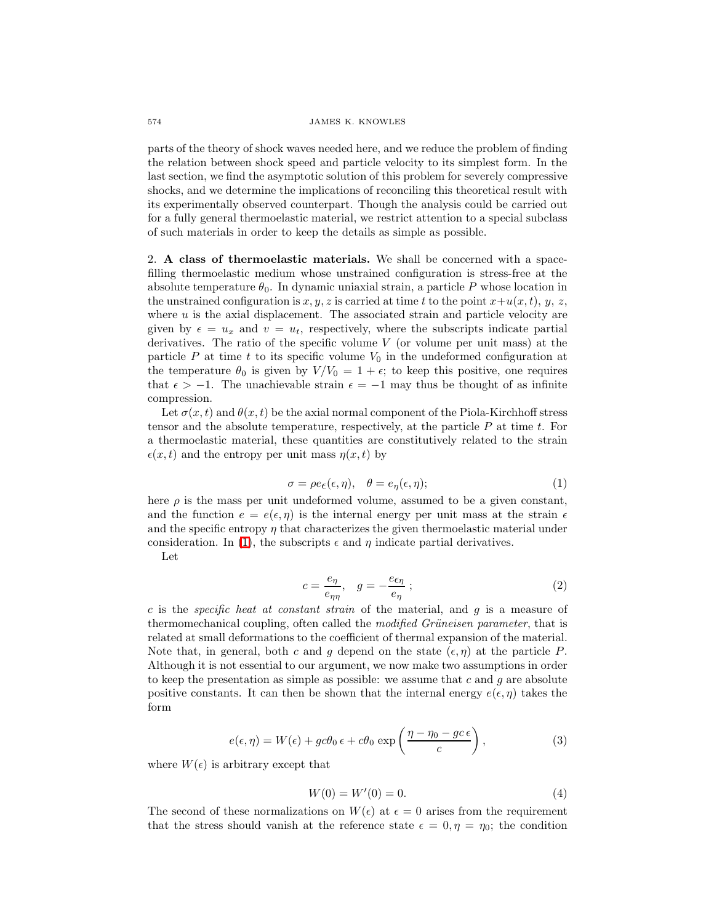## 574 JAMES K. KNOWLES

parts of the theory of shock waves needed here, and we reduce the problem of finding the relation between shock speed and particle velocity to its simplest form. In the last section, we find the asymptotic solution of this problem for severely compressive shocks, and we determine the implications of reconciling this theoretical result with its experimentally observed counterpart. Though the analysis could be carried out for a fully general thermoelastic material, we restrict attention to a special subclass of such materials in order to keep the details as simple as possible.

2. A class of thermoelastic materials. We shall be concerned with a spacefilling thermoelastic medium whose unstrained configuration is stress-free at the absolute temperature  $\theta_0$ . In dynamic uniaxial strain, a particle P whose location in the unstrained configuration is  $x, y, z$  is carried at time t to the point  $x+u(x, t), y, z$ , where  $u$  is the axial displacement. The associated strain and particle velocity are given by  $\epsilon = u_x$  and  $v = u_t$ , respectively, where the subscripts indicate partial derivatives. The ratio of the specific volume  $V$  (or volume per unit mass) at the particle  $P$  at time  $t$  to its specific volume  $V_0$  in the undeformed configuration at the temperature  $\theta_0$  is given by  $V/V_0 = 1 + \epsilon$ ; to keep this positive, one requires that  $\epsilon > -1$ . The unachievable strain  $\epsilon = -1$  may thus be thought of as infinite compression.

Let  $\sigma(x, t)$  and  $\theta(x, t)$  be the axial normal component of the Piola-Kirchhoff stress tensor and the absolute temperature, respectively, at the particle  $P$  at time  $t$ . For a thermoelastic material, these quantities are constitutively related to the strain  $\epsilon(x, t)$  and the entropy per unit mass  $\eta(x, t)$  by

$$
\sigma = \rho e_{\epsilon}(\epsilon, \eta), \quad \theta = e_{\eta}(\epsilon, \eta); \tag{1}
$$

<span id="page-1-0"></span>here  $\rho$  is the mass per unit undeformed volume, assumed to be a given constant, and the function  $e = e(\epsilon, \eta)$  is the internal energy per unit mass at the strain  $\epsilon$ and the specific entropy  $\eta$  that characterizes the given thermoelastic material under consideration. In [\(1\)](#page-1-0), the subscripts  $\epsilon$  and  $\eta$  indicate partial derivatives.

Let

$$
c = \frac{e_{\eta}}{e_{\eta\eta}}, \quad g = -\frac{e_{\epsilon\eta}}{e_{\eta}} \tag{2}
$$

c is the *specific heat at constant strain* of the material, and  $g$  is a measure of thermomechanical coupling, often called the *modified Grüneisen parameter*, that is related at small deformations to the coefficient of thermal expansion of the material. Note that, in general, both c and g depend on the state  $(\epsilon, \eta)$  at the particle P. Although it is not essential to our argument, we now make two assumptions in order to keep the presentation as simple as possible: we assume that c and  $q$  are absolute positive constants. It can then be shown that the internal energy  $e(\epsilon, \eta)$  takes the form

<span id="page-1-2"></span>
$$
e(\epsilon, \eta) = W(\epsilon) + gc\theta_0 \epsilon + c\theta_0 \exp\left(\frac{\eta - \eta_0 - gc\epsilon}{c}\right),
$$
 (3)

<span id="page-1-1"></span>where  $W(\epsilon)$  is arbitrary except that

$$
W(0) = W'(0) = 0.
$$
\n(4)

The second of these normalizations on  $W(\epsilon)$  at  $\epsilon = 0$  arises from the requirement that the stress should vanish at the reference state  $\epsilon = 0, \eta = \eta_0$ ; the condition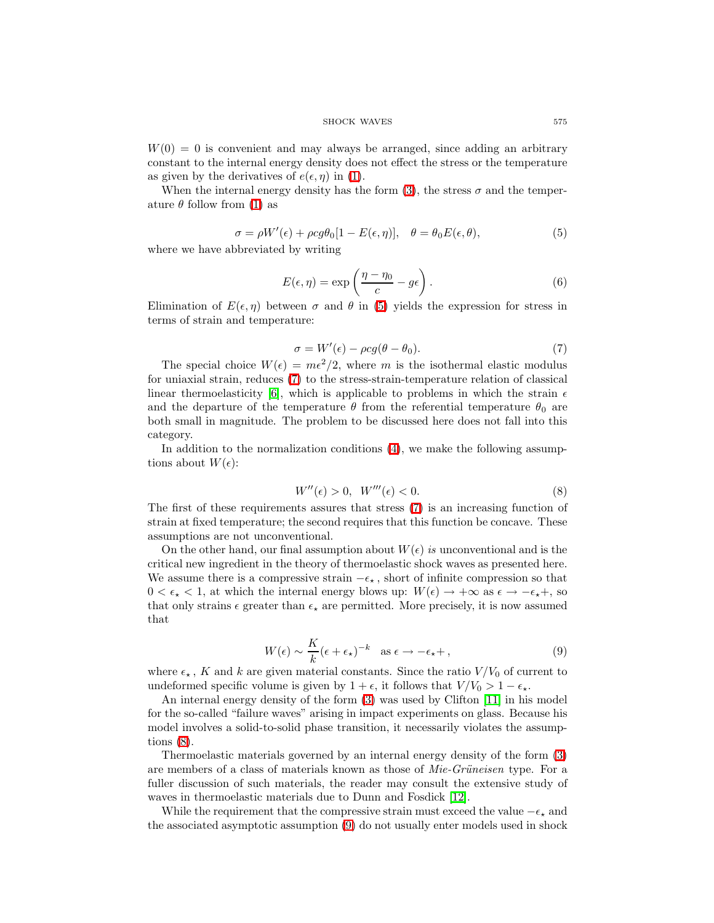$W(0) = 0$  is convenient and may always be arranged, since adding an arbitrary constant to the internal energy density does not effect the stress or the temperature as given by the derivatives of  $e(\epsilon, \eta)$  in [\(1\)](#page-1-0).

When the internal energy density has the form [\(3\)](#page-1-1), the stress  $\sigma$  and the temperature  $\theta$  follow from [\(1\)](#page-1-0) as

$$
\sigma = \rho W'(\epsilon) + \rho c g \theta_0 [1 - E(\epsilon, \eta)], \quad \theta = \theta_0 E(\epsilon, \theta), \tag{5}
$$

<span id="page-2-0"></span>where we have abbreviated by writing

$$
E(\epsilon, \eta) = \exp\left(\frac{\eta - \eta_0}{c} - g\epsilon\right). \tag{6}
$$

<span id="page-2-4"></span>Elimination of  $E(\epsilon, \eta)$  between  $\sigma$  and  $\theta$  in [\(5\)](#page-2-0) yields the expression for stress in terms of strain and temperature:

$$
\sigma = W'(\epsilon) - \rho c g(\theta - \theta_0). \tag{7}
$$

<span id="page-2-1"></span>The special choice  $W(\epsilon) = m\epsilon^2/2$ , where m is the isothermal elastic modulus for uniaxial strain, reduces [\(7\)](#page-2-1) to the stress-strain-temperature relation of classical linear thermoelasticity [\[6\]](#page-7-5), which is applicable to problems in which the strain  $\epsilon$ and the departure of the temperature  $\theta$  from the referential temperature  $\theta_0$  are both small in magnitude. The problem to be discussed here does not fall into this category.

In addition to the normalization conditions [\(4\)](#page-1-2), we make the following assumptions about  $W(\epsilon)$ :

$$
W''(\epsilon) > 0, \quad W'''(\epsilon) < 0. \tag{8}
$$

<span id="page-2-2"></span>The first of these requirements assures that stress [\(7\)](#page-2-1) is an increasing function of strain at fixed temperature; the second requires that this function be concave. These assumptions are not unconventional.

On the other hand, our final assumption about  $W(\epsilon)$  is unconventional and is the critical new ingredient in the theory of thermoelastic shock waves as presented here. We assume there is a compressive strain  $-\epsilon_{\star}$ , short of infinite compression so that  $0 < \epsilon_{\star} < 1$ , at which the internal energy blows up:  $W(\epsilon) \to +\infty$  as  $\epsilon \to -\epsilon_{\star} +$ , so that only strains  $\epsilon$  greater than  $\epsilon_{\star}$  are permitted. More precisely, it is now assumed that

$$
W(\epsilon) \sim \frac{K}{k} (\epsilon + \epsilon_{\star})^{-k} \quad \text{as } \epsilon \to -\epsilon_{\star} + , \tag{9}
$$

<span id="page-2-3"></span>where  $\epsilon_{\star}$ , K and k are given material constants. Since the ratio  $V/V_0$  of current to undeformed specific volume is given by  $1 + \epsilon$ , it follows that  $V/V_0 > 1 - \epsilon_{\star}$ .

An internal energy density of the form [\(3\)](#page-1-1) was used by Clifton [\[11\]](#page-7-6) in his model for the so-called "failure waves" arising in impact experiments on glass. Because his model involves a solid-to-solid phase transition, it necessarily violates the assumptions [\(8\)](#page-2-2).

Thermoelastic materials governed by an internal energy density of the form [\(3\)](#page-1-1) are members of a class of materials known as those of  $Mie-Griuneisen$  type. For a fuller discussion of such materials, the reader may consult the extensive study of waves in thermoelastic materials due to Dunn and Fosdick [\[12\]](#page-7-7).

While the requirement that the compressive strain must exceed the value  $-\epsilon_{\star}$  and the associated asymptotic assumption [\(9\)](#page-2-3) do not usually enter models used in shock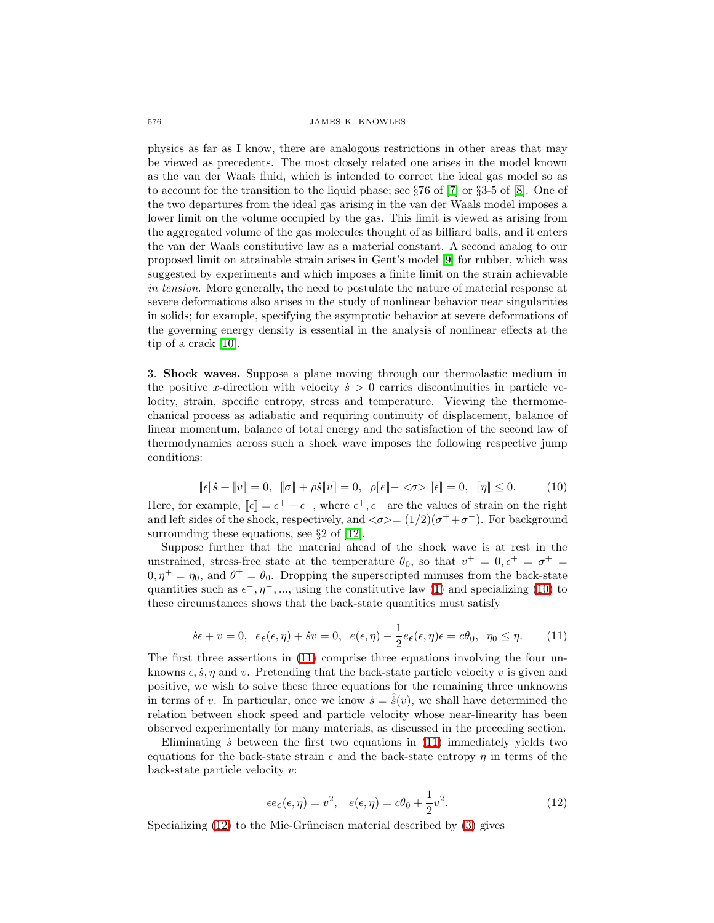## 576 JAMES K. KNOWLES

physics as far as I know, there are analogous restrictions in other areas that may be viewed as precedents. The most closely related one arises in the model known as the van der Waals fluid, which is intended to correct the ideal gas model so as to account for the transition to the liquid phase; see  $\S 76$  of  $[7]$  or  $\S 3-5$  of  $[8]$ . One of the two departures from the ideal gas arising in the van der Waals model imposes a lower limit on the volume occupied by the gas. This limit is viewed as arising from the aggregated volume of the gas molecules thought of as billiard balls, and it enters the van der Waals constitutive law as a material constant. A second analog to our proposed limit on attainable strain arises in Gent's model [\[9\]](#page-7-10) for rubber, which was suggested by experiments and which imposes a finite limit on the strain achievable in tension. More generally, the need to postulate the nature of material response at severe deformations also arises in the study of nonlinear behavior near singularities in solids; for example, specifying the asymptotic behavior at severe deformations of the governing energy density is essential in the analysis of nonlinear effects at the tip of a crack [\[10\]](#page-7-11).

3. Shock waves. Suppose a plane moving through our thermolastic medium in the positive x-direction with velocity  $\dot{s} > 0$  carries discontinuities in particle velocity, strain, specific entropy, stress and temperature. Viewing the thermomechanical process as adiabatic and requiring continuity of displacement, balance of linear momentum, balance of total energy and the satisfaction of the second law of thermodynamics across such a shock wave imposes the following respective jump conditions:

$$
[\![\epsilon]\!] \dot{s} + [\![v]\!] = 0, \quad [\![\sigma]\!] + \rho \dot{s}[\![v]\!] = 0, \quad \rho[\![\![e]\!] - \langle \sigma \rangle, \quad [\![\epsilon]\!] = 0, \quad [\![\eta]\!] \leq 0. \tag{10}
$$

<span id="page-3-0"></span>Here, for example,  $[\![\epsilon]\!] = \epsilon^+ - \epsilon^-$ , where  $\epsilon^+, \epsilon^-$  are the values of strain on the right and left sides of the shock, respectively, and  $\langle \sigma \rangle = (1/2)(\sigma^+ + \sigma^-)$ . For background surrounding these equations, see §2 of [\[12\]](#page-7-7).

Suppose further that the material ahead of the shock wave is at rest in the unstrained, stress-free state at the temperature  $\theta_0$ , so that  $v^+ = 0, \epsilon^+ = \sigma^+ =$  $0, \eta^+ = \eta_0$ , and  $\theta^+ = \theta_0$ . Dropping the superscripted minuses from the back-state quantities such as  $\epsilon^-, \eta^-, \dots$ , using the constitutive law [\(1\)](#page-1-0) and specializing [\(10\)](#page-3-0) to these circumstances shows that the back-state quantities must satisfy

$$
\dot{s}\epsilon + v = 0, \ \ e\epsilon(\epsilon, \eta) + \dot{s}v = 0, \ \ e(\epsilon, \eta) - \frac{1}{2}e_{\epsilon}(\epsilon, \eta)\epsilon = c\theta_0, \ \ \eta_0 \le \eta. \tag{11}
$$

<span id="page-3-1"></span>The first three assertions in [\(11\)](#page-3-1) comprise three equations involving the four unknowns  $\epsilon$ ,  $\dot{s}$ ,  $\eta$  and  $v$ . Pretending that the back-state particle velocity v is given and positive, we wish to solve these three equations for the remaining three unknowns in terms of v. In particular, once we know  $\dot{s} = \hat{s}(v)$ , we shall have determined the relation between shock speed and particle velocity whose near-linearity has been observed experimentally for many materials, as discussed in the preceding section.

Eliminating  $\dot{s}$  between the first two equations in  $(11)$  immediately yields two equations for the back-state strain  $\epsilon$  and the back-state entropy  $\eta$  in terms of the back-state particle velocity v:

$$
\epsilon e_{\epsilon}(\epsilon, \eta) = v^2, \quad e(\epsilon, \eta) = c\theta_0 + \frac{1}{2}v^2.
$$
 (12)

<span id="page-3-2"></span>Specializing  $(12)$  to the Mie-Grüneisen material described by  $(3)$  gives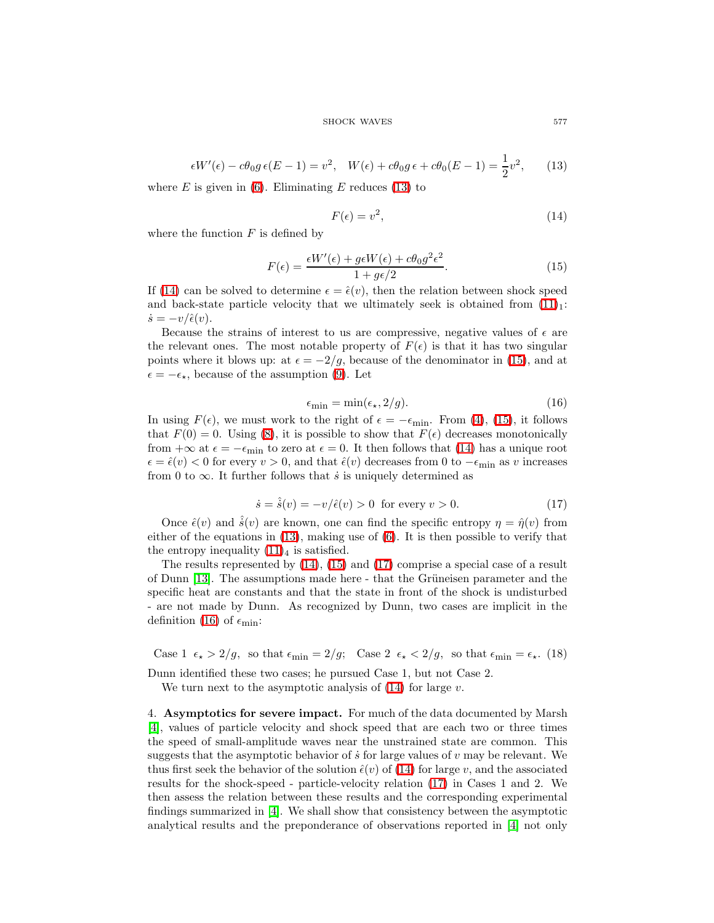#### SHOCK WAVES 577

$$
\epsilon W'(\epsilon) - c\theta_0 g \epsilon (E - 1) = v^2, \quad W(\epsilon) + c\theta_0 g \epsilon + c\theta_0 (E - 1) = \frac{1}{2}v^2, \quad (13)
$$

<span id="page-4-0"></span>where  $E$  is given in [\(6\)](#page-2-4). Eliminating  $E$  reduces [\(13\)](#page-4-0) to

$$
F(\epsilon) = v^2,\tag{14}
$$

where the function  $F$  is defined by

<span id="page-4-1"></span>
$$
F(\epsilon) = \frac{\epsilon W'(\epsilon) + g\epsilon W(\epsilon) + c\theta_0 g^2 \epsilon^2}{1 + g\epsilon/2}.
$$
\n(15)

<span id="page-4-2"></span>If [\(14\)](#page-4-1) can be solved to determine  $\epsilon = \hat{\epsilon}(v)$ , then the relation between shock speed and back-state particle velocity that we ultimately seek is obtained from  $(11)<sub>1</sub>$ :  $\dot{s} = -v/\hat{\epsilon}(v).$ 

Because the strains of interest to us are compressive, negative values of  $\epsilon$  are the relevant ones. The most notable property of  $F(\epsilon)$  is that it has two singular points where it blows up: at  $\epsilon = -2/q$ , because of the denominator in [\(15\)](#page-4-2), and at  $\epsilon = -\epsilon_{\star}$ , because of the assumption [\(9\)](#page-2-3). Let

$$
\epsilon_{\min} = \min(\epsilon_\star, 2/g). \tag{16}
$$

<span id="page-4-4"></span>In using  $F(\epsilon)$ , we must work to the right of  $\epsilon = -\epsilon_{\min}$ . From [\(4\)](#page-1-2), [\(15\)](#page-4-2), it follows that  $F(0) = 0$ . Using [\(8\)](#page-2-2), it is possible to show that  $F(\epsilon)$  decreases monotonically from  $+\infty$  at  $\epsilon = -\epsilon_{\min}$  to zero at  $\epsilon = 0$ . It then follows that [\(14\)](#page-4-1) has a unique root  $\epsilon = \hat{\epsilon}(v) < 0$  for every  $v > 0$ , and that  $\hat{\epsilon}(v)$  decreases from 0 to  $-\epsilon_{\min}$  as v increases from 0 to  $\infty$ . It further follows that *s* is uniquely determined as

$$
\dot{s} = \hat{s}(v) = -v/\hat{\epsilon}(v) > 0 \text{ for every } v > 0.
$$
 (17)

<span id="page-4-3"></span>Once  $\hat{\epsilon}(v)$  and  $\hat{\dot{s}}(v)$  are known, one can find the specific entropy  $\eta = \hat{\eta}(v)$  from either of the equations in  $(13)$ , making use of  $(6)$ . It is then possible to verify that the entropy inequality  $(11)_4$  is satisfied.

The results represented by [\(14\)](#page-4-1), [\(15\)](#page-4-2) and [\(17\)](#page-4-3) comprise a special case of a result of Dunn [\[13\]](#page-7-12). The assumptions made here - that the Grüneisen parameter and the specific heat are constants and that the state in front of the shock is undisturbed - are not made by Dunn. As recognized by Dunn, two cases are implicit in the definition [\(16\)](#page-4-4) of  $\epsilon_{\min}$ :

Case 1  $\epsilon_{\star} > 2/g$ , so that  $\epsilon_{\min} = 2/g$ ; Case 2  $\epsilon_{\star} < 2/g$ , so that  $\epsilon_{\min} = \epsilon_{\star}$ . (18)

Dunn identified these two cases; he pursued Case 1, but not Case 2.

We turn next to the asymptotic analysis of  $(14)$  for large v.

4. Asymptotics for severe impact. For much of the data documented by Marsh [\[4\]](#page-7-3), values of particle velocity and shock speed that are each two or three times the speed of small-amplitude waves near the unstrained state are common. This suggests that the asymptotic behavior of  $\dot{s}$  for large values of  $v$  may be relevant. We thus first seek the behavior of the solution  $\hat{\epsilon}(v)$  of [\(14\)](#page-4-1) for large v, and the associated results for the shock-speed - particle-velocity relation [\(17\)](#page-4-3) in Cases 1 and 2. We then assess the relation between these results and the corresponding experimental findings summarized in [\[4\]](#page-7-3). We shall show that consistency between the asymptotic analytical results and the preponderance of observations reported in [\[4\]](#page-7-3) not only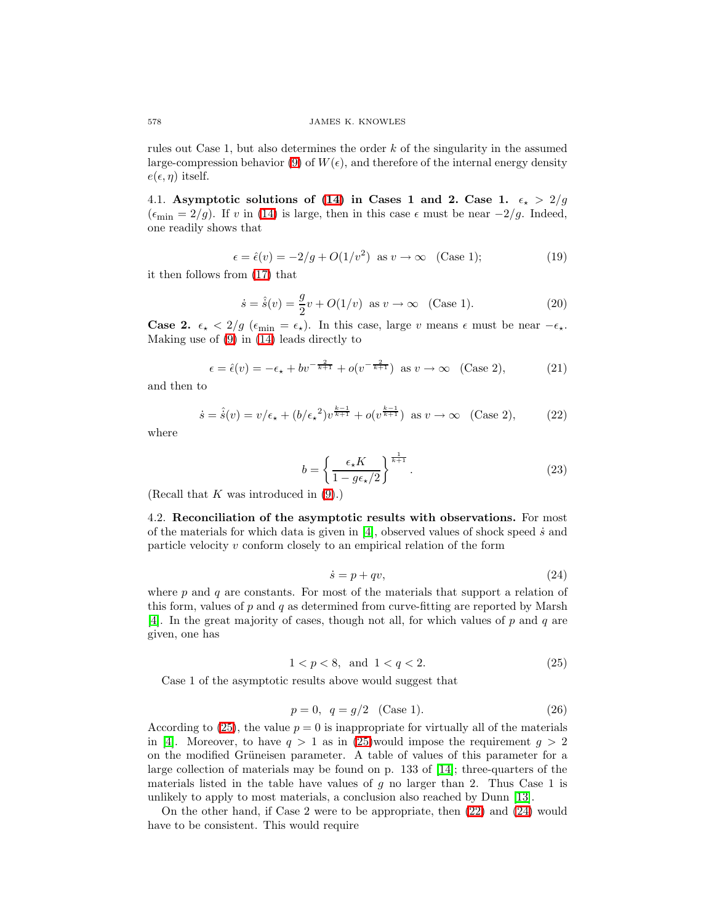rules out Case 1, but also determines the order k of the singularity in the assumed large-compression behavior [\(9\)](#page-2-3) of  $W(\epsilon)$ , and therefore of the internal energy density  $e(\epsilon, \eta)$  itself.

4.1. Asymptotic solutions of [\(14\)](#page-4-1) in Cases 1 and 2. Case 1.  $\epsilon_{\star} > 2/g$  $(\epsilon_{\min} = 2/g)$ . If v in [\(14\)](#page-4-1) is large, then in this case  $\epsilon$  must be near  $-2/g$ . Indeed, one readily shows that

$$
\epsilon = \hat{\epsilon}(v) = -2/g + O(1/v^2) \text{ as } v \to \infty \quad \text{(Case 1)};
$$
 (19)

it then follows from [\(17\)](#page-4-3) that

$$
\dot{s} = \hat{\dot{s}}(v) = \frac{g}{2}v + O(1/v) \text{ as } v \to \infty \quad \text{(Case 1).}
$$
 (20)

**Case 2.**  $\epsilon_{\star}$  < 2/g ( $\epsilon_{\min} = \epsilon_{\star}$ ). In this case, large v means  $\epsilon$  must be near  $-\epsilon_{\star}$ . Making use of [\(9\)](#page-2-3) in [\(14\)](#page-4-1) leads directly to

$$
\epsilon = \hat{\epsilon}(v) = -\epsilon_{\star} + bv^{-\frac{2}{k+1}} + o(v^{-\frac{2}{k+1}}) \text{ as } v \to \infty \quad \text{(Case 2)},\tag{21}
$$

<span id="page-5-3"></span>and then to

<span id="page-5-4"></span>
$$
\dot{s} = \hat{s}(v) = v/\epsilon_{\star} + (b/\epsilon_{\star}^{2})v^{\frac{k-1}{k+1}} + o(v^{\frac{k-1}{k+1}}) \text{ as } v \to \infty \quad \text{(Case 2)},\tag{22}
$$

<span id="page-5-1"></span>where

$$
b = \left\{ \frac{\epsilon_{\star} K}{1 - g \epsilon_{\star}/2} \right\}^{\frac{1}{k+1}}.
$$
 (23)

(Recall that  $K$  was introduced in  $(9)$ .)

4.2. Reconciliation of the asymptotic results with observations. For most of the materials for which data is given in  $[4]$ , observed values of shock speed  $\dot{s}$  and particle velocity  $v$  conform closely to an empirical relation of the form

<span id="page-5-2"></span>
$$
\dot{s} = p + qv,\tag{24}
$$

where  $p$  and  $q$  are constants. For most of the materials that support a relation of this form, values of  $p$  and  $q$  as determined from curve-fitting are reported by Marsh [\[4\]](#page-7-3). In the great majority of cases, though not all, for which values of  $p$  and  $q$  are given, one has

$$
1 < p < 8, \text{ and } 1 < q < 2. \tag{25}
$$

<span id="page-5-0"></span>Case 1 of the asymptotic results above would suggest that

$$
p = 0, \quad q = g/2 \quad \text{(Case 1).} \tag{26}
$$

According to [\(25\)](#page-5-0), the value  $p = 0$  is inappropriate for virtually all of the materials in [\[4\]](#page-7-3). Moreover, to have  $q > 1$  as in [\(25\)](#page-5-0)would impose the requirement  $q > 2$ on the modified Grüneisen parameter. A table of values of this parameter for a large collection of materials may be found on p. 133 of [\[14\]](#page-7-13); three-quarters of the materials listed in the table have values of  $q$  no larger than 2. Thus Case 1 is unlikely to apply to most materials, a conclusion also reached by Dunn [\[13\]](#page-7-12).

On the other hand, if Case 2 were to be appropriate, then [\(22\)](#page-5-1) and [\(24\)](#page-5-2) would have to be consistent. This would require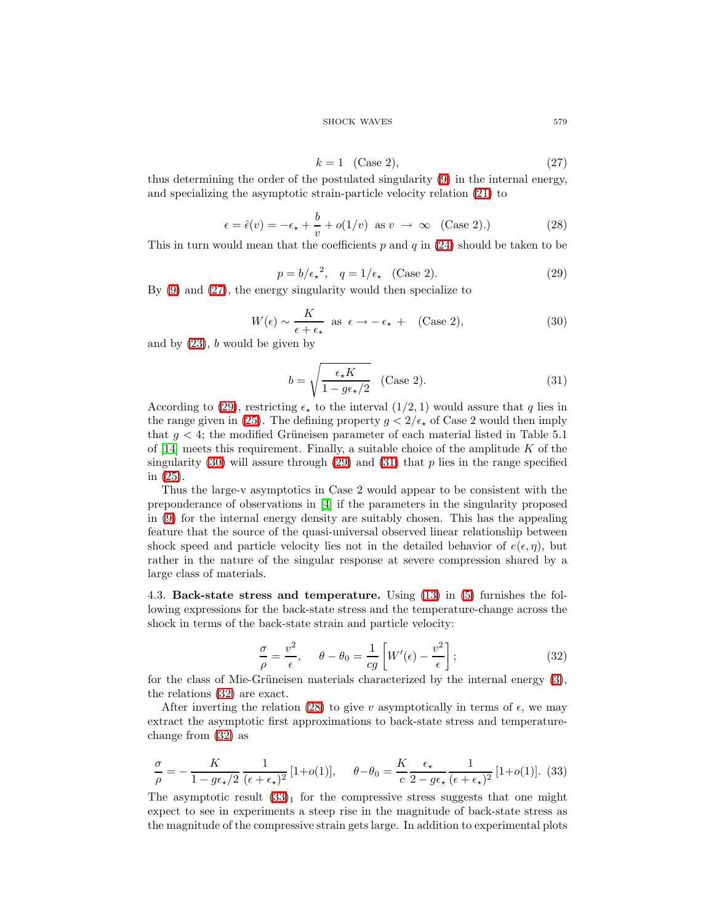#### SHOCK WAVES 579

$$
k = 1 \quad \text{(Case 2)},\tag{27}
$$

thus determining the order of the postulated singularity [\(9\)](#page-2-3) in the internal energy, and specializing the asymptotic strain-particle velocity relation [\(21\)](#page-5-3) to

<span id="page-6-0"></span>
$$
\epsilon = \hat{\epsilon}(v) = -\epsilon_{\star} + \frac{b}{v} + o(1/v) \text{ as } v \to \infty \quad \text{(Case 2).)}
$$
 (28)

<span id="page-6-5"></span>This in turn would mean that the coefficients  $p$  and  $q$  in [\(24\)](#page-5-2) should be taken to be

$$
p = b/\epsilon_{\star}^2, \quad q = 1/\epsilon_{\star} \quad \text{(Case 2).} \tag{29}
$$

<span id="page-6-1"></span>By [\(9\)](#page-2-3) and [\(27\)](#page-6-0), the energy singularity would then specialize to

$$
W(\epsilon) \sim \frac{K}{\epsilon + \epsilon_{\star}} \text{ as } \epsilon \to -\epsilon_{\star} + \quad \text{(Case 2)}, \tag{30}
$$

<span id="page-6-2"></span>and by  $(23)$ , b would be given by

$$
b = \sqrt{\frac{\epsilon_{\star} K}{1 - g \epsilon_{\star}/2}} \quad \text{(Case 2).} \tag{31}
$$

<span id="page-6-3"></span>According to [\(29\)](#page-6-1), restricting  $\epsilon_{\star}$  to the interval (1/2, 1) would assure that q lies in the range given in [\(25\)](#page-5-0). The defining property  $g < 2/\epsilon_{\star}$  of Case 2 would then imply that  $g < 4$ ; the modified Grüneisen parameter of each material listed in Table 5.1 of  $[14]$  meets this requirement. Finally, a suitable choice of the amplitude K of the singularity [\(30\)](#page-6-2) will assure through [\(29\)](#page-6-1) and [\(31\)](#page-6-3) that  $p$  lies in the range specified in [\(25\)](#page-5-0).

Thus the large-v asymptotics in Case 2 would appear to be consistent with the preponderance of observations in [\[4\]](#page-7-3) if the parameters in the singularity proposed in [\(9\)](#page-2-3) for the internal energy density are suitably chosen. This has the appealing feature that the source of the quasi-universal observed linear relationship between shock speed and particle velocity lies not in the detailed behavior of  $e(\epsilon, \eta)$ , but rather in the nature of the singular response at severe compression shared by a large class of materials.

4.3. Back-state stress and temperature. Using [\(13\)](#page-4-0) in [\(5\)](#page-2-0) furnishes the following expressions for the back-state stress and the temperature-change across the shock in terms of the back-state strain and particle velocity:

$$
\frac{\sigma}{\rho} = \frac{v^2}{\epsilon}, \quad \theta - \theta_0 = \frac{1}{cg} \left[ W'(\epsilon) - \frac{v^2}{\epsilon} \right];\tag{32}
$$

<span id="page-6-4"></span>for the class of Mie-Grüneisen materials characterized by the internal energy  $(3)$ , the relations [\(32\)](#page-6-4) are exact.

After inverting the relation [\(28\)](#page-6-5) to give v asymptotically in terms of  $\epsilon$ , we may extract the asymptotic first approximations to back-state stress and temperaturechange from [\(32\)](#page-6-4) as

$$
\frac{\sigma}{\rho} = -\frac{K}{1 - g\epsilon_\star/2} \frac{1}{(\epsilon + \epsilon_\star)^2} [1 + o(1)], \quad \theta - \theta_0 = \frac{K}{c} \frac{\epsilon_\star}{2 - g\epsilon_\star} \frac{1}{(\epsilon + \epsilon_\star)^2} [1 + o(1)]. \tag{33}
$$

<span id="page-6-6"></span>The asymptotic result  $(33)<sub>1</sub>$  for the compressive stress suggests that one might expect to see in experiments a steep rise in the magnitude of back-state stress as the magnitude of the compressive strain gets large. In addition to experimental plots